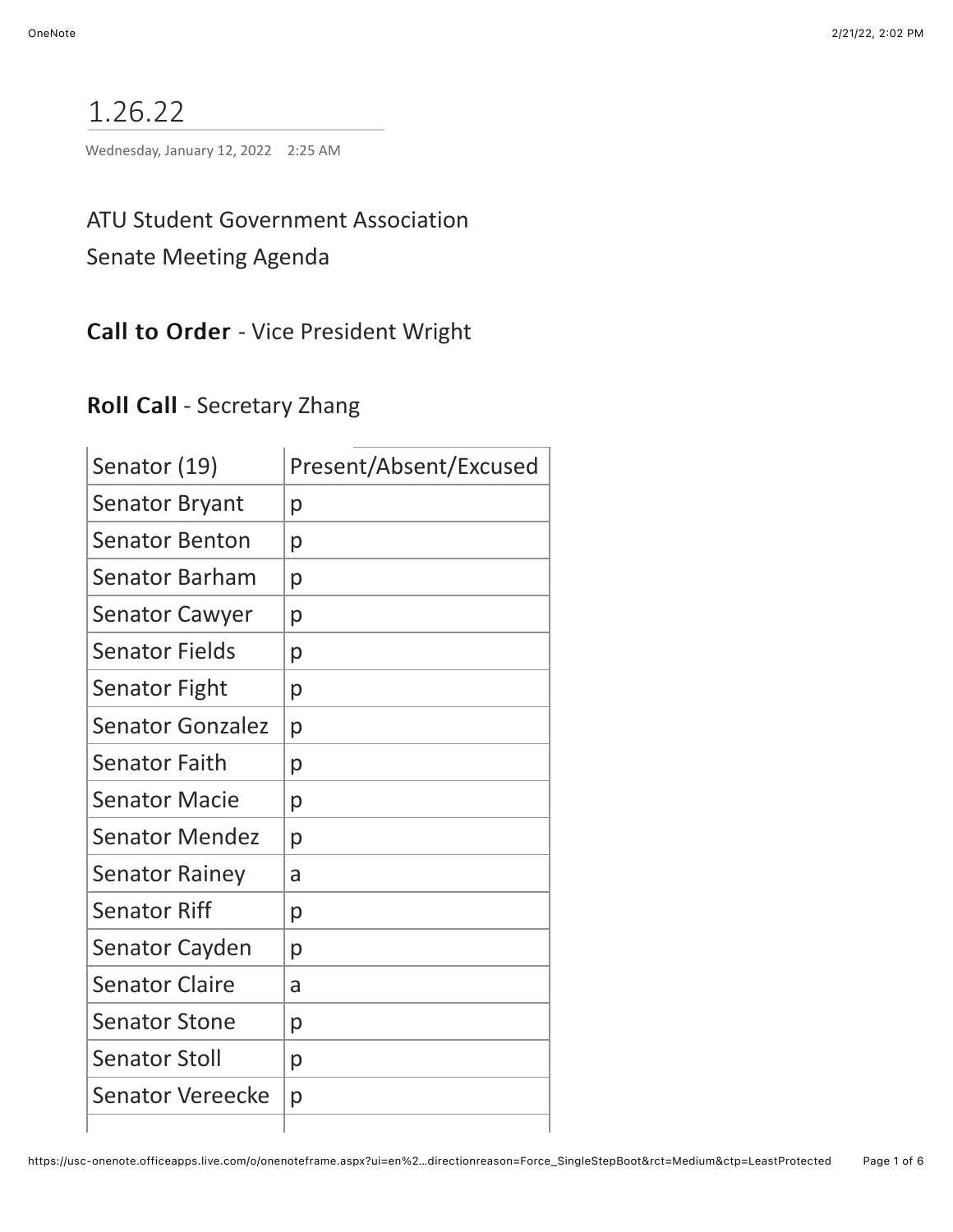# 1.26.22

Wednesday, January 12, 2022 2:25 AM

# ATU Student Government Association Senate Meeting Agenda

## Call to Order - Vice President Wright

## Roll Call - Secretary Zhang

| Senator (19)            | Present/Absent/Excused |
|-------------------------|------------------------|
| Senator Bryant          | р                      |
| <b>Senator Benton</b>   | р                      |
| Senator Barham          | р                      |
| Senator Cawyer          | р                      |
| <b>Senator Fields</b>   | р                      |
| <b>Senator Fight</b>    | р                      |
| <b>Senator Gonzalez</b> | р                      |
| <b>Senator Faith</b>    | р                      |
| <b>Senator Macie</b>    | р                      |
| <b>Senator Mendez</b>   | р                      |
| <b>Senator Rainey</b>   | a                      |
| <b>Senator Riff</b>     | р                      |
| Senator Cayden          | р                      |
| <b>Senator Claire</b>   | a                      |
| <b>Senator Stone</b>    | р                      |
| <b>Senator Stoll</b>    | р                      |
| Senator Vereecke        | р                      |
|                         |                        |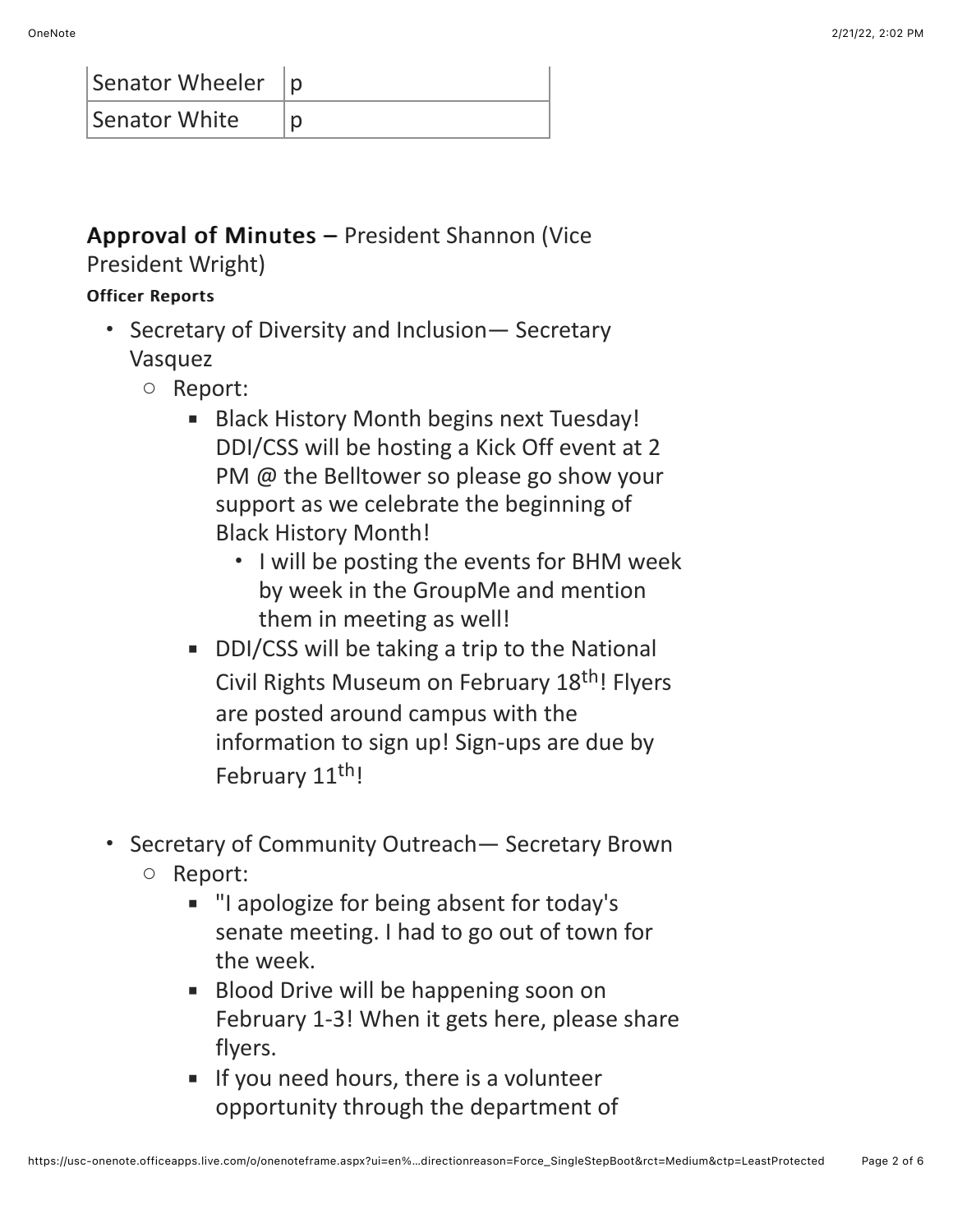| Senator Wheeler $ p $ |  |
|-----------------------|--|
| Senator White         |  |

### Approval of Minutes – President Shannon (Vice

President Wright)

#### **Officer Reports**

- Secretary of Diversity and Inclusion— Secretary Vasquez
	- Report:
		- Black History Month begins next Tuesday! DDI/CSS will be hosting a Kick Off event at 2 PM @ the Belltower so please go show your support as we celebrate the beginning of Black History Month!
			- I will be posting the events for BHM week by week in the GroupMe and mention them in meeting as well!
		- DDI/CSS will be taking a trip to the National Civil Rights Museum on February 18th! Flyers are posted around campus with the information to sign up! Sign-ups are due by February 11<sup>th</sup>!
- Secretary of Community Outreach— Secretary Brown
	- Report:
		- "I apologize for being absent for today's senate meeting. I had to go out of town for the week.
		- **EXECT:** Blood Drive will be happening soon on February 1-3! When it gets here, please share flyers.
		- **If you need hours, there is a volunteer** opportunity through the department of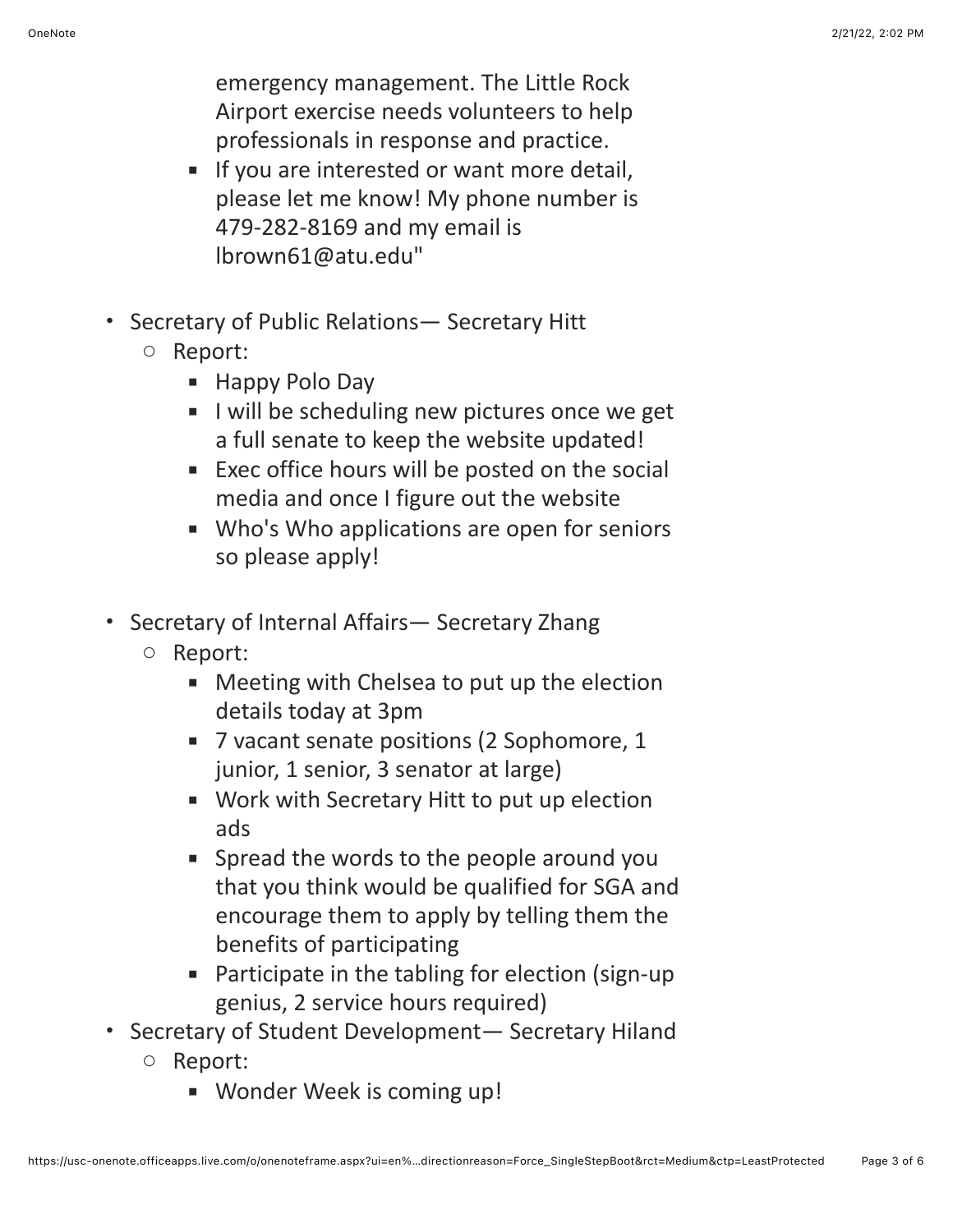emergency management. The Little Rock Airport exercise needs volunteers to help professionals in response and practice.

- **If you are interested or want more detail,** please let me know! My phone number is 479-282-8169 and my email is lbrown61@atu.edu"
- Secretary of Public Relations— Secretary Hitt
	- Report:
		- Happy Polo Day
		- **I** l will be scheduling new pictures once we get a full senate to keep the website updated!
		- Exec office hours will be posted on the social media and once I figure out the website
		- Who's Who applications are open for seniors so please apply!
- Secretary of Internal Affairs— Secretary Zhang
	- Report:
		- Meeting with Chelsea to put up the election details today at 3pm
		- 7 vacant senate positions (2 Sophomore, 1 junior, 1 senior, 3 senator at large)
		- Work with Secretary Hitt to put up election ads
		- Spread the words to the people around you that you think would be qualified for SGA and encourage them to apply by telling them the benefits of participating
		- Participate in the tabling for election (sign-up genius, 2 service hours required)
- Secretary of Student Development— Secretary Hiland
	- Report:
		- Wonder Week is coming up!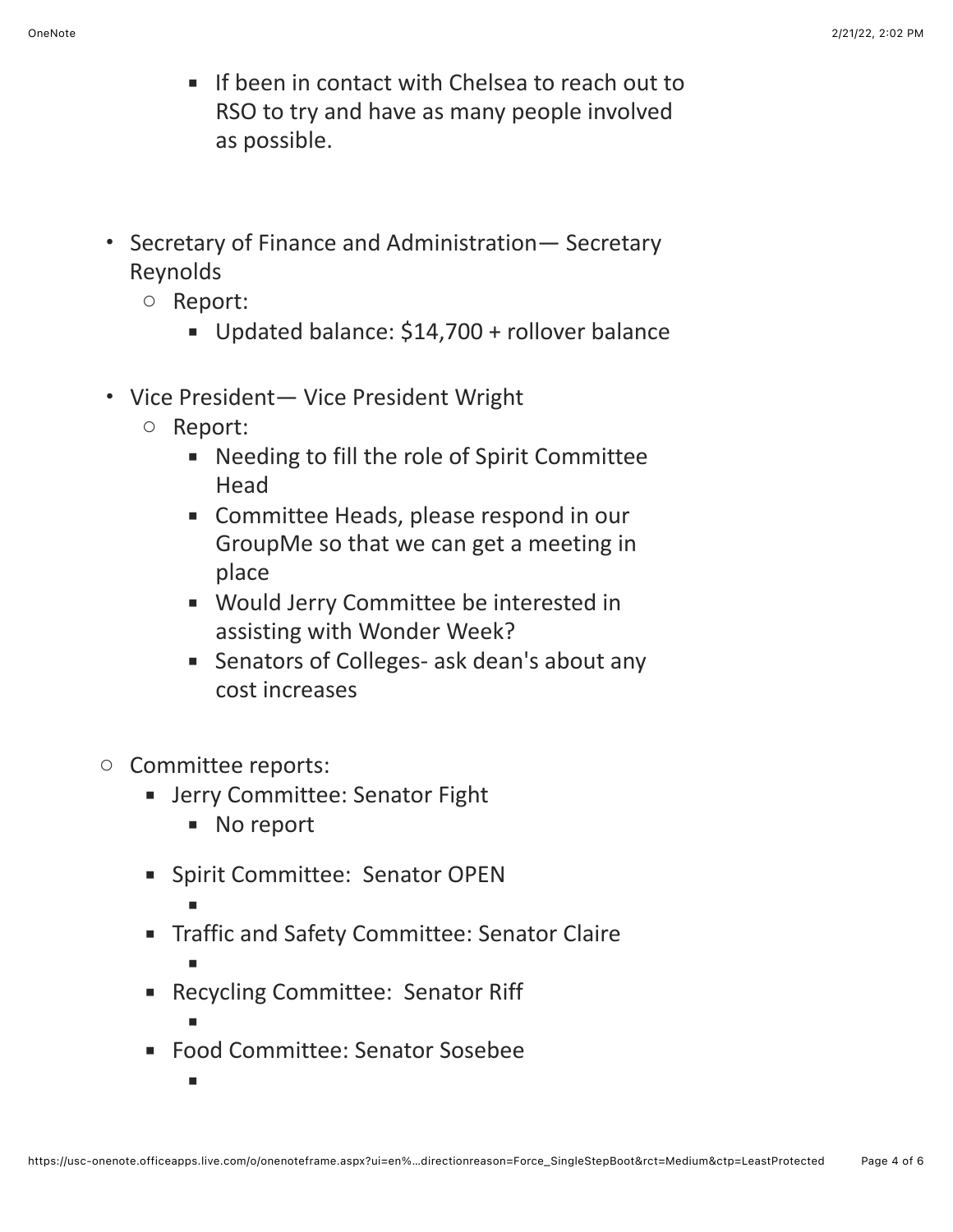- If been in contact with Chelsea to reach out to RSO to try and have as many people involved as possible.
- Secretary of Finance and Administration— Secretary Reynolds
	- Report:
		- Updated balance: \$14,700 + rollover balance
- Vice President— Vice President Wright
	- Report:
		- Needing to fill the role of Spirit Committee Head
		- Committee Heads, please respond in our GroupMe so that we can get a meeting in place
		- Would Jerry Committee be interested in assisting with Wonder Week?
		- Senators of Colleges- ask dean's about any cost increases
- Committee reports:
	- **EXECOMMITTEE: Senator Fight** 
		- No report
	- **EXECOMMITTEE: Senator OPEN**
	- ■ Traffic and Safety Committee: Senator Claire
		- ▪

▪

▪

- **Recycling Committee: Senator Riff**
- Food Committee: Senator Sosebee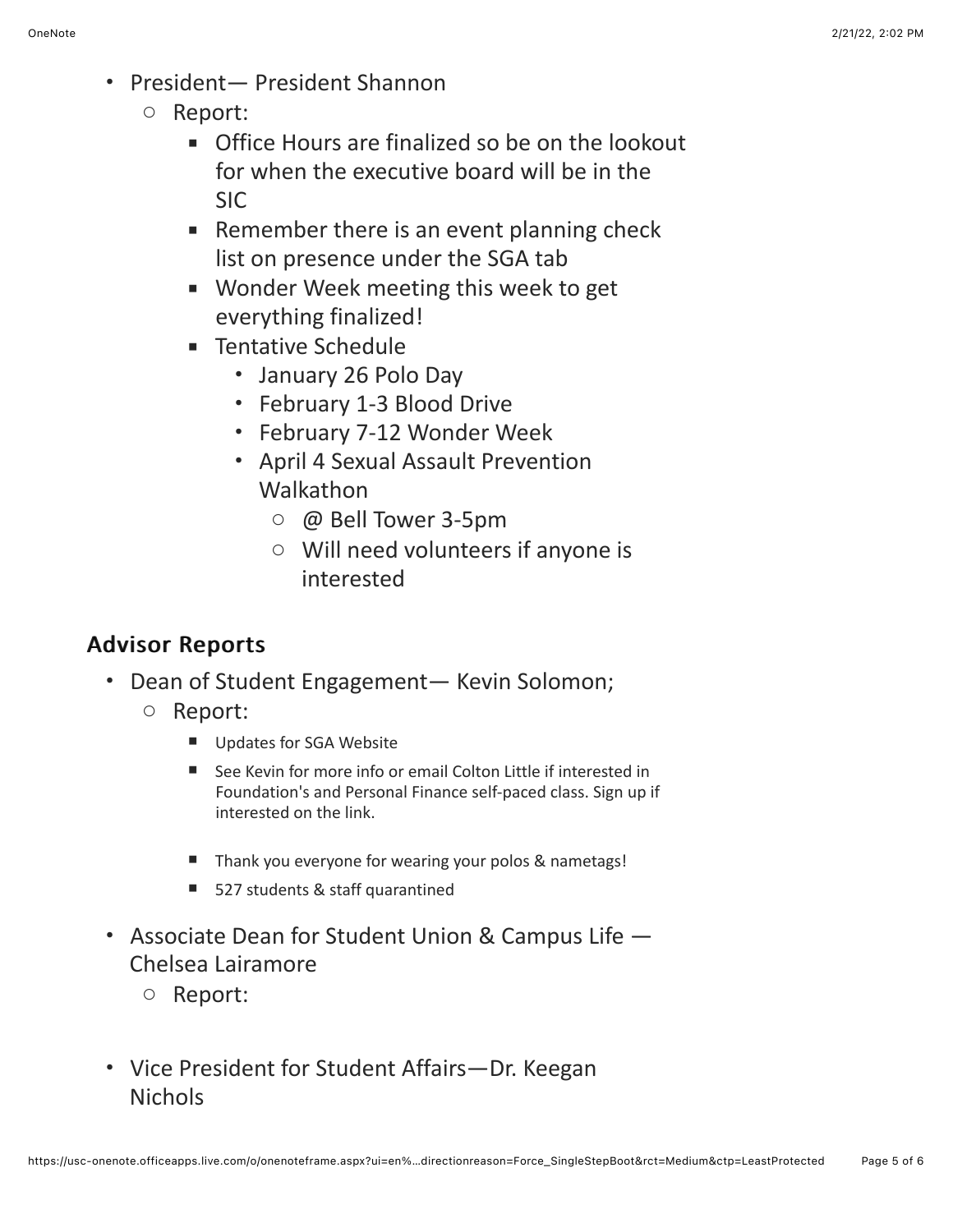- President— President Shannon
	- Report:
		- **Office Hours are finalized so be on the lookout** for when the executive board will be in the SIC
		- Remember there is an event planning check list on presence under the SGA tab
		- Wonder Week meeting this week to get everything finalized!
		- Tentative Schedule
			- January 26 Polo Day
			- February 1-3 Blood Drive
			- February 7-12 Wonder Week
			- April 4 Sexual Assault Prevention Walkathon
				- @ Bell Tower 3-5pm
				- Will need volunteers if anyone is interested

# Advisor Reports Advisor Reports

- Dean of Student Engagement— Kevin Solomon;
	- Report:
		- Updates for SGA Website
		- See Kevin for more info or email Colton Little if interested in Foundation's and Personal Finance self-paced class. Sign up if interested on the link.
		- Thank you everyone for wearing your polos & nametags!
		- 527 students & staff quarantined
- Associate Dean for Student Union & Campus Life Chelsea Lairamore
	- Report:
- Vice President for Student Affairs—Dr. Keegan **Nichols**